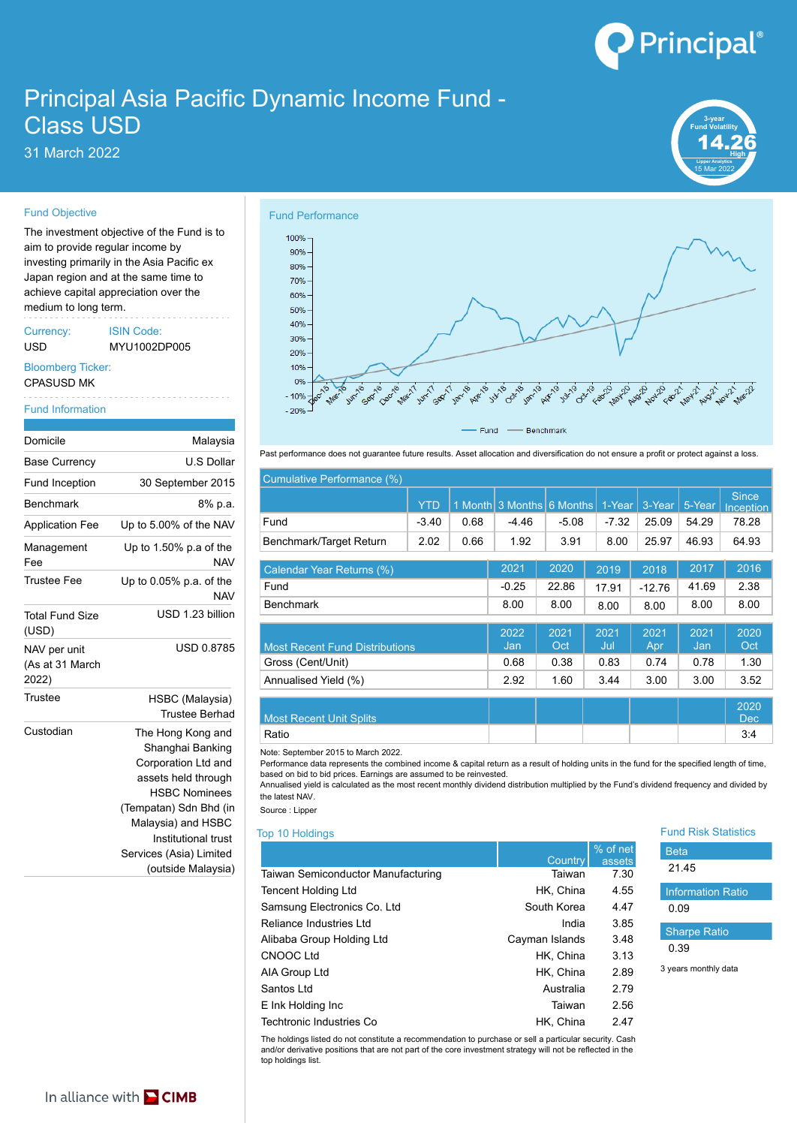# Principal®

## Principal Asia Pacific Dynamic Income Fund - Class USD

31 March 2022 **High**



### Fund Objective

The investment objective of the Fund is to  $\frac{1}{100\%}$ aim to provide regular income by investing primarily in the Asia Pacific ex Japan region and at the same time to achieve capital appreciation over the medium to long term.

Currency: ISIN Code: Experiency. ISIN Code.<br>
USD MYU1002DP005 20%<br>
Bloomberg Ticker: 10% 10%

## CPASUSD MK

#### Fund Information

| Malaysia                                                                                                                                                                           |                                                                                                                                                                                                                                                                     |  |  |  |  |  |
|------------------------------------------------------------------------------------------------------------------------------------------------------------------------------------|---------------------------------------------------------------------------------------------------------------------------------------------------------------------------------------------------------------------------------------------------------------------|--|--|--|--|--|
| U.S Dollar                                                                                                                                                                         | Past performance does not guarantee future res                                                                                                                                                                                                                      |  |  |  |  |  |
| 30 September 2015                                                                                                                                                                  | Cumulative Performance (%)                                                                                                                                                                                                                                          |  |  |  |  |  |
| 8% p.a.                                                                                                                                                                            | <b>YTE</b>                                                                                                                                                                                                                                                          |  |  |  |  |  |
| Up to 5.00% of the NAV                                                                                                                                                             | Fund<br>$-3.40$                                                                                                                                                                                                                                                     |  |  |  |  |  |
| Up to $1.50\%$ p.a of the<br><b>NAV</b>                                                                                                                                            | 2.02<br>Benchmark/Target Return                                                                                                                                                                                                                                     |  |  |  |  |  |
| Up to $0.05\%$ p.a. of the<br><b>NAV</b>                                                                                                                                           | Calendar Year Returns (%)<br>Fund                                                                                                                                                                                                                                   |  |  |  |  |  |
| USD 1.23 billion                                                                                                                                                                   | <b>Benchmark</b>                                                                                                                                                                                                                                                    |  |  |  |  |  |
| <b>USD 0.8785</b>                                                                                                                                                                  | <b>Most Recent Fund Distributions</b><br>Gross (Cent/Unit)<br>Annualised Yield (%)                                                                                                                                                                                  |  |  |  |  |  |
| HSBC (Malaysia)<br><b>Trustee Berhad</b>                                                                                                                                           | <b>Most Recent Unit Splits</b>                                                                                                                                                                                                                                      |  |  |  |  |  |
| The Hong Kong and<br>Shanghai Banking<br>Corporation Ltd and<br>assets held through<br><b>HSBC Nominees</b><br>(Tempatan) Sdn Bhd (in<br>Malaysia) and HSBC<br>Institutional trust | Ratio<br>Note: September 2015 to March 2022.<br>Performance data represents the combined inco<br>based on bid to bid prices. Earnings are assume<br>Annualised yield is calculated as the most recer<br>the latest NAV.<br>Source: Lipper<br><b>Top 10 Holdings</b> |  |  |  |  |  |
|                                                                                                                                                                                    |                                                                                                                                                                                                                                                                     |  |  |  |  |  |

(outside Malaysia)



Past performance does not guarantee future results. Asset allocation and diversification do not ensure a profit or protect against a loss.

| September 2015                | Cumulative Performance (%)            |            |      |                         |             |             |                 |             |                                  |
|-------------------------------|---------------------------------------|------------|------|-------------------------|-------------|-------------|-----------------|-------------|----------------------------------|
| 8% p.a.                       |                                       | <b>YTD</b> |      | Month 3 Months 6 Months |             | 1-Year      | $3-Year$ 5-Year |             | <b>Since</b><br><b>Inception</b> |
| .00% of the NAV               | Fund                                  | $-3.40$    | 0.68 | $-4.46$                 | $-5.08$     | $-7.32$     | 25.09           | 54.29       | 78.28                            |
| $.50\%$ p.a of the            | Benchmark/Target Return               | 2.02       | 0.66 | 1.92                    | 3.91        | 8.00        | 25.97           | 46.93       | 64.93                            |
| <b>NAV</b>                    | Calendar Year Returns (%)             |            |      | 2021                    | 2020        | 2019        | 2018            | 2017        | 2016                             |
| 05% p.a. of the<br><b>NAV</b> | Fund                                  |            |      | $-0.25$                 | 22.86       | 17.91       | $-12.76$        | 41.69       | 2.38                             |
| USD 1.23 billion              | <b>Benchmark</b>                      |            |      | 8.00                    | 8.00        | 8.00        | 8.00            | 8.00        | 8.00                             |
| <b>USD 0.8785</b>             | <b>Most Recent Fund Distributions</b> |            |      | 2022<br>Jan             | 2021<br>Oct | 2021<br>Jul | 2021<br>Apr     | 2021<br>Jan | 2020<br>Oct                      |
|                               | Gross (Cent/Unit)                     |            |      | 0.68                    | 0.38        | 0.83        | 0.74            | 0.78        | 1.30                             |
|                               | Annualised Yield (%)                  |            |      | 2.92                    | 1.60        | 3.44        | 3.00            | 3.00        | 3.52                             |
| SBC (Malaysia)<br><b>TID</b>  |                                       |            |      |                         |             |             |                 |             | 2020                             |

| <b>Most Recent Unit Splits</b> |  |  | <b>Dec</b> |  |
|--------------------------------|--|--|------------|--|
| Ratio                          |  |  | 9.4        |  |

Corporation Ltd and | Performance data represents the combined income & capital return as a result of holding units in the fund for the specified length of time, based on bid to bid prices. Earnings are assumed to be reinvested.

assets held through and the dased on old to old prices. Earnings are assumed to be reinvested.<br>Annualised yield is calculated as the most recent monthly dividend distribution multiplied by the Fund's dividend frequency and HSBC Nominees **the latest NAV.** 

|                                    |                | % of net | <b>Beta</b>              |  |
|------------------------------------|----------------|----------|--------------------------|--|
|                                    | Country        | assets   | 21.45                    |  |
| Taiwan Semiconductor Manufacturing | Taiwan         | 7.30     |                          |  |
| <b>Tencent Holding Ltd</b>         | HK, China      | 4.55     | <b>Information Ratio</b> |  |
| Samsung Electronics Co. Ltd        | South Korea    | 4.47     | 0.09                     |  |
| Reliance Industries Ltd            | India          | 3.85     |                          |  |
| Alibaba Group Holding Ltd          | Cayman Islands | 3.48     | <b>Sharpe Ratio</b>      |  |
| CNOOC Ltd                          | HK, China      | 3.13     | 0.39                     |  |
| AIA Group Ltd                      | HK, China      | 2.89     | 3 years monthly data     |  |
| Santos Ltd                         | Australia      | 2.79     |                          |  |
| E Ink Holding Inc                  | Taiwan         | 2.56     |                          |  |
| Techtronic Industries Co           | HK. China      | 2.47     |                          |  |

The holdings listed do not constitute a recommendation to purchase or sell a particular security. Cash and/or derivative positions that are not part of the core investment strategy will not be reflected in the top holdings list.



## 0.09 Sharpe Ratio